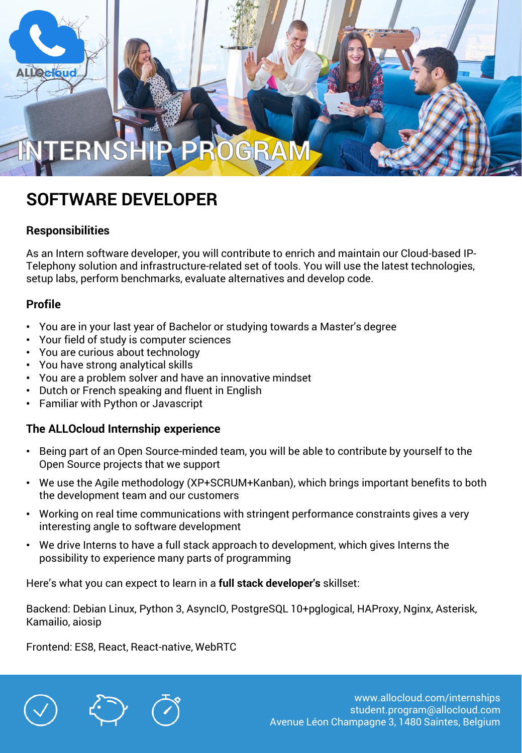### **ERNS** GRA

# **SOFTWARE DEVELOPER**

#### **Responsibilities**

As an Intern software developer, you will contribute to enrich and maintain our Cloud-based IP-Telephony solution and infrastructure-related set of tools. You will use the latest technologies, setup labs, perform benchmarks, evaluate alternatives and develop code.

#### **Profile**

- You are in your last year of Bachelor or studying towards a Master's degree
- Your field of study is computer sciences
- You are curious about technology
- You have strong analytical skills
- You are a problem solver and have an innovative mindset
- Dutch or French speaking and fluent in English
- Familiar with Python or Javascript

#### **The ALLOcloud Internship experience**

- Being part of an Open Source-minded team, you will be able to contribute by yourself to the Open Source projects that we support
- We use the Agile methodology (XP+SCRUM+Kanban), which brings important benefits to both the development team and our customers
- Working on real time communications with stringent performance constraints gives a very interesting angle to software development
- We drive Interns to have a full stack approach to development, which gives Interns the possibility to experience many parts of programming

Here's what you can expect to learn in a **full stack developer's** skillset:

Backend: Debian Linux, Python 3, AsyncIO, PostgreSQL 10+pglogical, HAProxy, Nginx, Asterisk, Kamailio, aiosip

Frontend: ES8, React, React-native, WebRTC